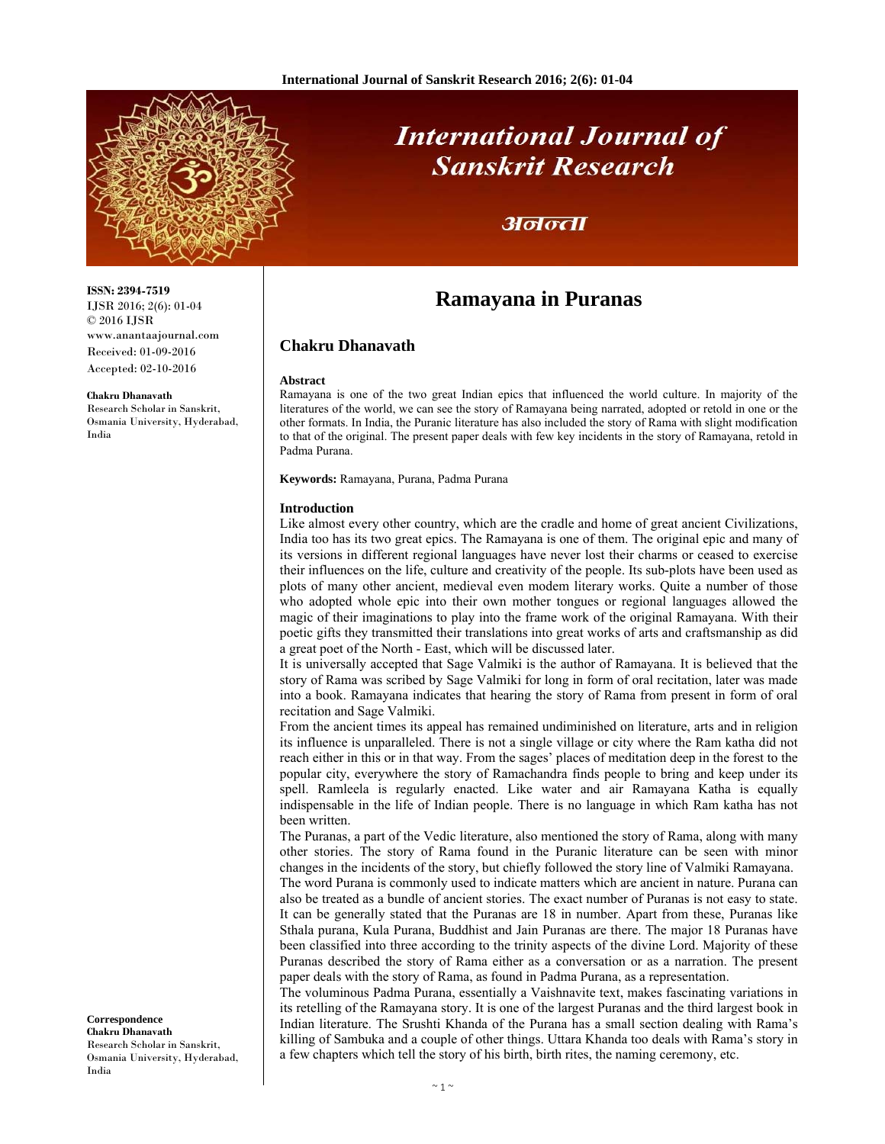

**ISSN: 2394-7519** IJSR 2016; 2(6): 01-04 © 2016 IJSR

**Chakru Dhanavath**  Research Scholar in Sanskrit, Osmania University, Hyderabad,

India

www.anantaajournal.com Received: 01-09-2016 Accepted: 02-10-2016

# **International Journal of Sanskrit Research**

### अनन्ता

## **Ramayana in Puranas**

#### **Chakru Dhanavath**

#### **Abstract**

Ramayana is one of the two great Indian epics that influenced the world culture. In majority of the literatures of the world, we can see the story of Ramayana being narrated, adopted or retold in one or the other formats. In India, the Puranic literature has also included the story of Rama with slight modification to that of the original. The present paper deals with few key incidents in the story of Ramayana, retold in Padma Purana.

**Keywords:** Ramayana, Purana, Padma Purana

#### **Introduction**

Like almost every other country, which are the cradle and home of great ancient Civilizations, India too has its two great epics. The Ramayana is one of them. The original epic and many of its versions in different regional languages have never lost their charms or ceased to exercise their influences on the life, culture and creativity of the people. Its sub-plots have been used as plots of many other ancient, medieval even modem literary works. Quite a number of those who adopted whole epic into their own mother tongues or regional languages allowed the magic of their imaginations to play into the frame work of the original Ramayana. With their poetic gifts they transmitted their translations into great works of arts and craftsmanship as did a great poet of the North - East, which will be discussed later.

It is universally accepted that Sage Valmiki is the author of Ramayana. It is believed that the story of Rama was scribed by Sage Valmiki for long in form of oral recitation, later was made into a book. Ramayana indicates that hearing the story of Rama from present in form of oral recitation and Sage Valmiki.

From the ancient times its appeal has remained undiminished on literature, arts and in religion its influence is unparalleled. There is not a single village or city where the Ram katha did not reach either in this or in that way. From the sages' places of meditation deep in the forest to the popular city, everywhere the story of Ramachandra finds people to bring and keep under its spell. Ramleela is regularly enacted. Like water and air Ramayana Katha is equally indispensable in the life of Indian people. There is no language in which Ram katha has not been written.

The Puranas, a part of the Vedic literature, also mentioned the story of Rama, along with many other stories. The story of Rama found in the Puranic literature can be seen with minor changes in the incidents of the story, but chiefly followed the story line of Valmiki Ramayana.

The word Purana is commonly used to indicate matters which are ancient in nature. Purana can also be treated as a bundle of ancient stories. The exact number of Puranas is not easy to state. It can be generally stated that the Puranas are 18 in number. Apart from these, Puranas like Sthala purana, Kula Purana, Buddhist and Jain Puranas are there. The major 18 Puranas have been classified into three according to the trinity aspects of the divine Lord. Majority of these Puranas described the story of Rama either as a conversation or as a narration. The present paper deals with the story of Rama, as found in Padma Purana, as a representation.

The voluminous Padma Purana, essentially a Vaishnavite text, makes fascinating variations in its retelling of the Ramayana story. It is one of the largest Puranas and the third largest book in Indian literature. The Srushti Khanda of the Purana has a small section dealing with Rama's killing of Sambuka and a couple of other things. Uttara Khanda too deals with Rama's story in a few chapters which tell the story of his birth, birth rites, the naming ceremony, etc.

**Correspondence Chakru Dhanavath**  Research Scholar in Sanskrit, Osmania University, Hyderabad, India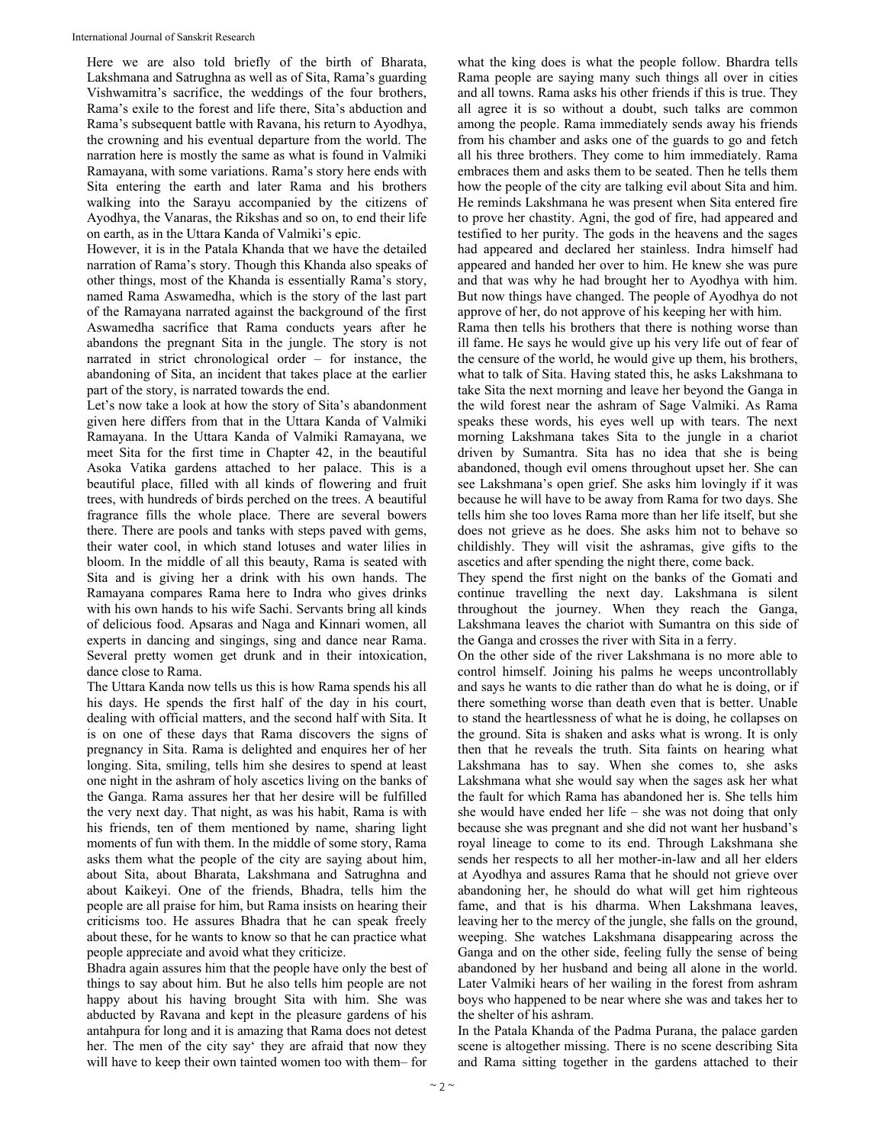Here we are also told briefly of the birth of Bharata, Lakshmana and Satrughna as well as of Sita, Rama's guarding Vishwamitra's sacrifice, the weddings of the four brothers, Rama's exile to the forest and life there, Sita's abduction and Rama's subsequent battle with Ravana, his return to Ayodhya, the crowning and his eventual departure from the world. The narration here is mostly the same as what is found in Valmiki Ramayana, with some variations. Rama's story here ends with Sita entering the earth and later Rama and his brothers walking into the Sarayu accompanied by the citizens of Ayodhya, the Vanaras, the Rikshas and so on, to end their life on earth, as in the Uttara Kanda of Valmiki's epic.

However, it is in the Patala Khanda that we have the detailed narration of Rama's story. Though this Khanda also speaks of other things, most of the Khanda is essentially Rama's story, named Rama Aswamedha, which is the story of the last part of the Ramayana narrated against the background of the first Aswamedha sacrifice that Rama conducts years after he abandons the pregnant Sita in the jungle. The story is not narrated in strict chronological order – for instance, the abandoning of Sita, an incident that takes place at the earlier part of the story, is narrated towards the end.

Let's now take a look at how the story of Sita's abandonment given here differs from that in the Uttara Kanda of Valmiki Ramayana. In the Uttara Kanda of Valmiki Ramayana, we meet Sita for the first time in Chapter 42, in the beautiful Asoka Vatika gardens attached to her palace. This is a beautiful place, filled with all kinds of flowering and fruit trees, with hundreds of birds perched on the trees. A beautiful fragrance fills the whole place. There are several bowers there. There are pools and tanks with steps paved with gems, their water cool, in which stand lotuses and water lilies in bloom. In the middle of all this beauty, Rama is seated with Sita and is giving her a drink with his own hands. The Ramayana compares Rama here to Indra who gives drinks with his own hands to his wife Sachi. Servants bring all kinds of delicious food. Apsaras and Naga and Kinnari women, all experts in dancing and singings, sing and dance near Rama. Several pretty women get drunk and in their intoxication, dance close to Rama.

The Uttara Kanda now tells us this is how Rama spends his all his days. He spends the first half of the day in his court, dealing with official matters, and the second half with Sita. It is on one of these days that Rama discovers the signs of pregnancy in Sita. Rama is delighted and enquires her of her longing. Sita, smiling, tells him she desires to spend at least one night in the ashram of holy ascetics living on the banks of the Ganga. Rama assures her that her desire will be fulfilled the very next day. That night, as was his habit, Rama is with his friends, ten of them mentioned by name, sharing light moments of fun with them. In the middle of some story, Rama asks them what the people of the city are saying about him, about Sita, about Bharata, Lakshmana and Satrughna and about Kaikeyi. One of the friends, Bhadra, tells him the people are all praise for him, but Rama insists on hearing their criticisms too. He assures Bhadra that he can speak freely about these, for he wants to know so that he can practice what people appreciate and avoid what they criticize.

Bhadra again assures him that the people have only the best of things to say about him. But he also tells him people are not happy about his having brought Sita with him. She was abducted by Ravana and kept in the pleasure gardens of his antahpura for long and it is amazing that Rama does not detest her. The men of the city say' they are afraid that now they will have to keep their own tainted women too with them– for

what the king does is what the people follow. Bhardra tells Rama people are saying many such things all over in cities and all towns. Rama asks his other friends if this is true. They all agree it is so without a doubt, such talks are common among the people. Rama immediately sends away his friends from his chamber and asks one of the guards to go and fetch all his three brothers. They come to him immediately. Rama embraces them and asks them to be seated. Then he tells them how the people of the city are talking evil about Sita and him. He reminds Lakshmana he was present when Sita entered fire to prove her chastity. Agni, the god of fire, had appeared and testified to her purity. The gods in the heavens and the sages had appeared and declared her stainless. Indra himself had appeared and handed her over to him. He knew she was pure and that was why he had brought her to Ayodhya with him. But now things have changed. The people of Ayodhya do not approve of her, do not approve of his keeping her with him.

Rama then tells his brothers that there is nothing worse than ill fame. He says he would give up his very life out of fear of the censure of the world, he would give up them, his brothers, what to talk of Sita. Having stated this, he asks Lakshmana to take Sita the next morning and leave her beyond the Ganga in the wild forest near the ashram of Sage Valmiki. As Rama speaks these words, his eyes well up with tears. The next morning Lakshmana takes Sita to the jungle in a chariot driven by Sumantra. Sita has no idea that she is being abandoned, though evil omens throughout upset her. She can see Lakshmana's open grief. She asks him lovingly if it was because he will have to be away from Rama for two days. She tells him she too loves Rama more than her life itself, but she does not grieve as he does. She asks him not to behave so childishly. They will visit the ashramas, give gifts to the ascetics and after spending the night there, come back.

They spend the first night on the banks of the Gomati and continue travelling the next day. Lakshmana is silent throughout the journey. When they reach the Ganga, Lakshmana leaves the chariot with Sumantra on this side of the Ganga and crosses the river with Sita in a ferry.

On the other side of the river Lakshmana is no more able to control himself. Joining his palms he weeps uncontrollably and says he wants to die rather than do what he is doing, or if there something worse than death even that is better. Unable to stand the heartlessness of what he is doing, he collapses on the ground. Sita is shaken and asks what is wrong. It is only then that he reveals the truth. Sita faints on hearing what Lakshmana has to say. When she comes to, she asks Lakshmana what she would say when the sages ask her what the fault for which Rama has abandoned her is. She tells him she would have ended her life – she was not doing that only because she was pregnant and she did not want her husband's royal lineage to come to its end. Through Lakshmana she sends her respects to all her mother-in-law and all her elders at Ayodhya and assures Rama that he should not grieve over abandoning her, he should do what will get him righteous fame, and that is his dharma. When Lakshmana leaves, leaving her to the mercy of the jungle, she falls on the ground, weeping. She watches Lakshmana disappearing across the Ganga and on the other side, feeling fully the sense of being abandoned by her husband and being all alone in the world. Later Valmiki hears of her wailing in the forest from ashram boys who happened to be near where she was and takes her to the shelter of his ashram.

In the Patala Khanda of the Padma Purana, the palace garden scene is altogether missing. There is no scene describing Sita and Rama sitting together in the gardens attached to their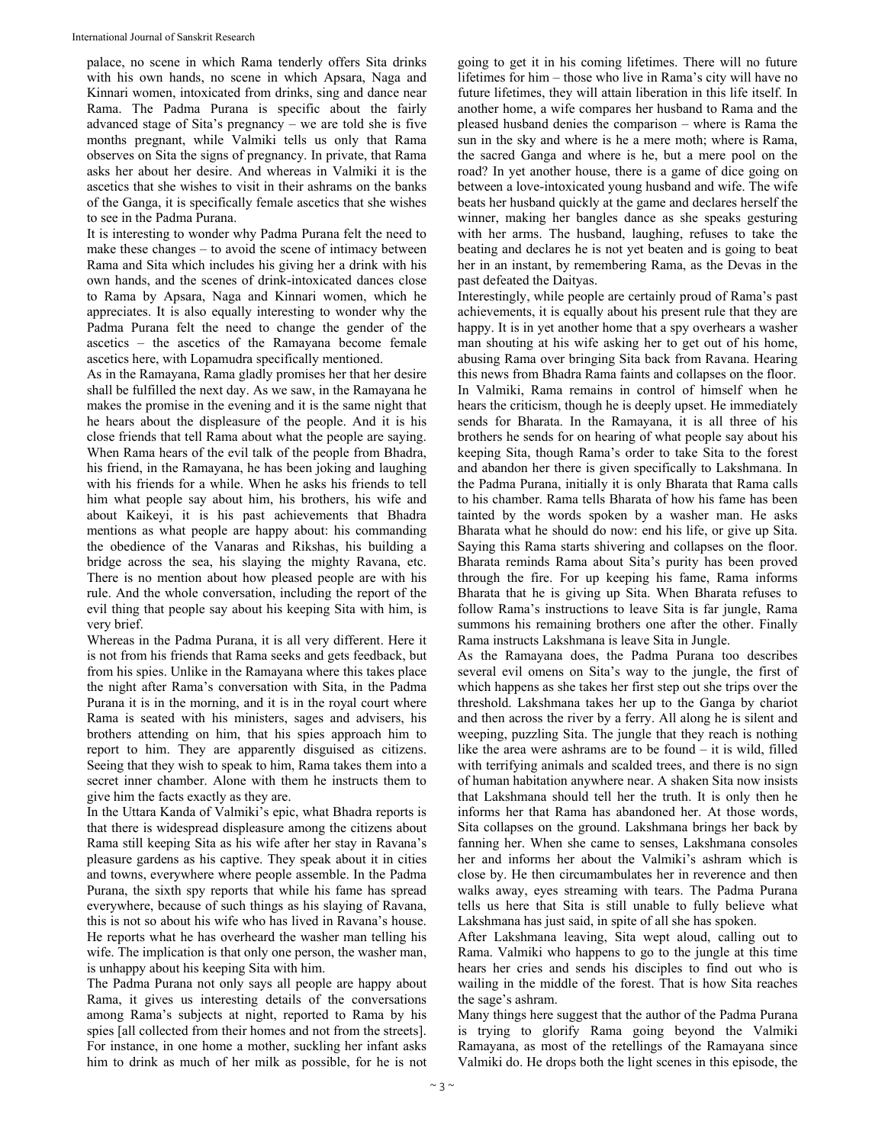palace, no scene in which Rama tenderly offers Sita drinks with his own hands, no scene in which Apsara, Naga and Kinnari women, intoxicated from drinks, sing and dance near Rama. The Padma Purana is specific about the fairly advanced stage of Sita's pregnancy – we are told she is five months pregnant, while Valmiki tells us only that Rama observes on Sita the signs of pregnancy. In private, that Rama asks her about her desire. And whereas in Valmiki it is the ascetics that she wishes to visit in their ashrams on the banks of the Ganga, it is specifically female ascetics that she wishes to see in the Padma Purana.

It is interesting to wonder why Padma Purana felt the need to make these changes – to avoid the scene of intimacy between Rama and Sita which includes his giving her a drink with his own hands, and the scenes of drink-intoxicated dances close to Rama by Apsara, Naga and Kinnari women, which he appreciates. It is also equally interesting to wonder why the Padma Purana felt the need to change the gender of the ascetics – the ascetics of the Ramayana become female ascetics here, with Lopamudra specifically mentioned.

As in the Ramayana, Rama gladly promises her that her desire shall be fulfilled the next day. As we saw, in the Ramayana he makes the promise in the evening and it is the same night that he hears about the displeasure of the people. And it is his close friends that tell Rama about what the people are saying. When Rama hears of the evil talk of the people from Bhadra, his friend, in the Ramayana, he has been joking and laughing with his friends for a while. When he asks his friends to tell him what people say about him, his brothers, his wife and about Kaikeyi, it is his past achievements that Bhadra mentions as what people are happy about: his commanding the obedience of the Vanaras and Rikshas, his building a bridge across the sea, his slaying the mighty Ravana, etc. There is no mention about how pleased people are with his rule. And the whole conversation, including the report of the evil thing that people say about his keeping Sita with him, is very brief.

Whereas in the Padma Purana, it is all very different. Here it is not from his friends that Rama seeks and gets feedback, but from his spies. Unlike in the Ramayana where this takes place the night after Rama's conversation with Sita, in the Padma Purana it is in the morning, and it is in the royal court where Rama is seated with his ministers, sages and advisers, his brothers attending on him, that his spies approach him to report to him. They are apparently disguised as citizens. Seeing that they wish to speak to him, Rama takes them into a secret inner chamber. Alone with them he instructs them to give him the facts exactly as they are.

In the Uttara Kanda of Valmiki's epic, what Bhadra reports is that there is widespread displeasure among the citizens about Rama still keeping Sita as his wife after her stay in Ravana's pleasure gardens as his captive. They speak about it in cities and towns, everywhere where people assemble. In the Padma Purana, the sixth spy reports that while his fame has spread everywhere, because of such things as his slaying of Ravana, this is not so about his wife who has lived in Ravana's house. He reports what he has overheard the washer man telling his wife. The implication is that only one person, the washer man, is unhappy about his keeping Sita with him.

The Padma Purana not only says all people are happy about Rama, it gives us interesting details of the conversations among Rama's subjects at night, reported to Rama by his spies [all collected from their homes and not from the streets]. For instance, in one home a mother, suckling her infant asks him to drink as much of her milk as possible, for he is not going to get it in his coming lifetimes. There will no future lifetimes for him – those who live in Rama's city will have no future lifetimes, they will attain liberation in this life itself. In another home, a wife compares her husband to Rama and the pleased husband denies the comparison – where is Rama the sun in the sky and where is he a mere moth; where is Rama, the sacred Ganga and where is he, but a mere pool on the road? In yet another house, there is a game of dice going on between a love-intoxicated young husband and wife. The wife beats her husband quickly at the game and declares herself the winner, making her bangles dance as she speaks gesturing with her arms. The husband, laughing, refuses to take the beating and declares he is not yet beaten and is going to beat her in an instant, by remembering Rama, as the Devas in the past defeated the Daityas.

Interestingly, while people are certainly proud of Rama's past achievements, it is equally about his present rule that they are happy. It is in yet another home that a spy overhears a washer man shouting at his wife asking her to get out of his home, abusing Rama over bringing Sita back from Ravana. Hearing this news from Bhadra Rama faints and collapses on the floor. In Valmiki, Rama remains in control of himself when he hears the criticism, though he is deeply upset. He immediately sends for Bharata. In the Ramayana, it is all three of his brothers he sends for on hearing of what people say about his keeping Sita, though Rama's order to take Sita to the forest and abandon her there is given specifically to Lakshmana. In the Padma Purana, initially it is only Bharata that Rama calls to his chamber. Rama tells Bharata of how his fame has been tainted by the words spoken by a washer man. He asks Bharata what he should do now: end his life, or give up Sita. Saying this Rama starts shivering and collapses on the floor. Bharata reminds Rama about Sita's purity has been proved through the fire. For up keeping his fame, Rama informs Bharata that he is giving up Sita. When Bharata refuses to follow Rama's instructions to leave Sita is far jungle, Rama summons his remaining brothers one after the other. Finally Rama instructs Lakshmana is leave Sita in Jungle.

As the Ramayana does, the Padma Purana too describes several evil omens on Sita's way to the jungle, the first of which happens as she takes her first step out she trips over the threshold. Lakshmana takes her up to the Ganga by chariot and then across the river by a ferry. All along he is silent and weeping, puzzling Sita. The jungle that they reach is nothing like the area were ashrams are to be found – it is wild, filled with terrifying animals and scalded trees, and there is no sign of human habitation anywhere near. A shaken Sita now insists that Lakshmana should tell her the truth. It is only then he informs her that Rama has abandoned her. At those words, Sita collapses on the ground. Lakshmana brings her back by fanning her. When she came to senses, Lakshmana consoles her and informs her about the Valmiki's ashram which is close by. He then circumambulates her in reverence and then walks away, eyes streaming with tears. The Padma Purana tells us here that Sita is still unable to fully believe what Lakshmana has just said, in spite of all she has spoken.

After Lakshmana leaving, Sita wept aloud, calling out to Rama. Valmiki who happens to go to the jungle at this time hears her cries and sends his disciples to find out who is wailing in the middle of the forest. That is how Sita reaches the sage's ashram.

Many things here suggest that the author of the Padma Purana is trying to glorify Rama going beyond the Valmiki Ramayana, as most of the retellings of the Ramayana since Valmiki do. He drops both the light scenes in this episode, the